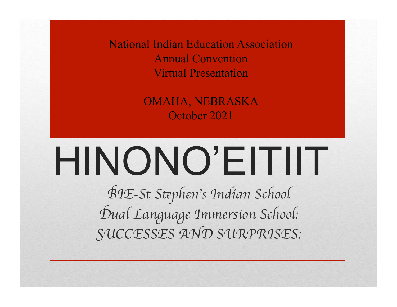National Indian Education Association Annual Convention Virtual Presentation

> OMAHA, NEBRASKA October 2021

# HINONO'EITIIT

B*IE-St S*t*phen*'*s Indian School* D*ual Language Immersion School:* S*UCCESSES AND SURPRISES:*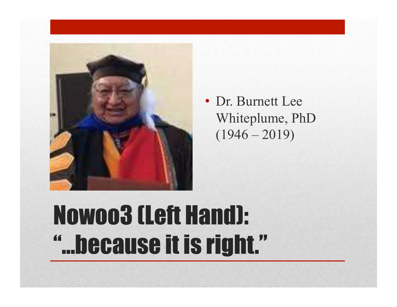

• Dr. Burnett Lee Whiteplume, PhD  $(1946 - 2019)$ 

### Nowoo3 (Left Hand): "…because it is right."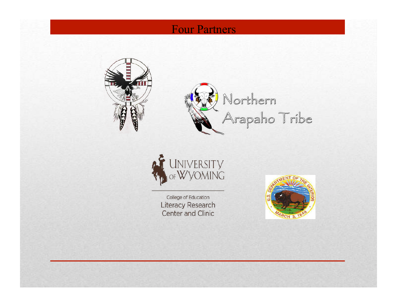#### Four Partners



Northern<br>Arapaho Tribe



College of Education Literacy Research **Center and Clinic** 

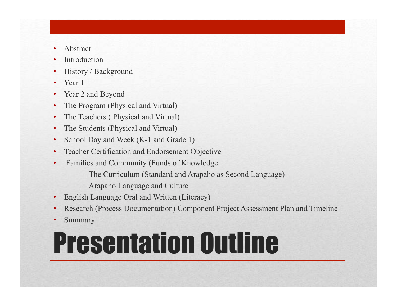- **Abstract**
- **Introduction**
- History / Background
- Year 1
- Year 2 and Beyond
- The Program (Physical and Virtual)
- The Teachers.( Physical and Virtual)
- The Students (Physical and Virtual)
- School Day and Week (K-1 and Grade 1)
- Teacher Certification and Endorsement Objective
- Families and Community (Funds of Knowledge
	- The Curriculum (Standard and Arapaho as Second Language)
	- Arapaho Language and Culture
- English Language Oral and Written (Literacy)
- Research (Process Documentation) Component Project Assessment Plan and Timeline
- **Summary**

# Presentation Outline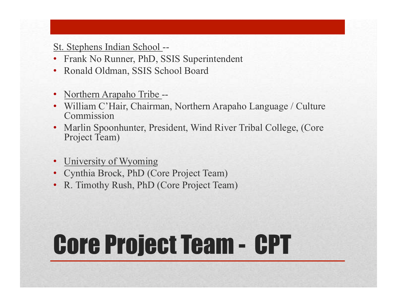#### St. Stephens Indian School --

- Frank No Runner, PhD, SSIS Superintendent
- Ronald Oldman, SSIS School Board
- Northern Arapaho Tribe --
- William C'Hair, Chairman, Northern Arapaho Language / Culture Commission
- Marlin Spoonhunter, President, Wind River Tribal College, (Core Project Team)
- University of Wyoming
- Cynthia Brock, PhD (Core Project Team)
- R. Timothy Rush, PhD (Core Project Team)

# Core Project Team - CPT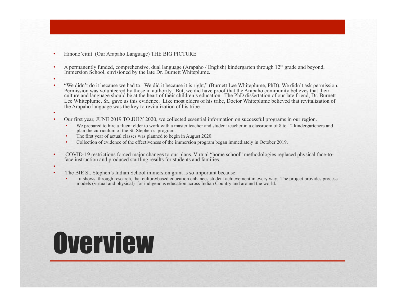- Hinono'eitiit (Our Arapaho Language) THE BIG PICTURE
- A permanently funded, comprehensive, dual language (Arapaho / English) kindergarten through 12<sup>th</sup> grade and beyond, Immersion School, envisioned by the late Dr. Burnett Whiteplume.
- •

•

- "We didn't do it because we had to. We did it because it is right," (Burnett Lee Whiteplume, PhD). We didn't ask permission. Permission was volunteered by those in authority. But, we did have proof that the Arapaho community believes that their culture and language should be at the heart of their children's education. The PhD dissertation of our late friend, Dr. Burnett Lee Whiteplume, Sr., gave us this evidence. Like most elders of his tribe, Doctor Whiteplume believed that revitalization of the Arapaho language was the key to revitalization of his tribe.
- Our first year, JUNE 2019 TO JULY 2020, we collected essential information on successful programs in our region.
	- We prepared to hire a fluent elder to work with a master teacher and student teacher in a classroom of 8 to 12 kindergarteners and plan the curriculum of the St. Stephen's program.
	- The first year of actual classes was planned to begin in August 2020.
	- Collection of evidence of the effectiveness of the immersion program began immediately in October 2019.
- COVID-19 restrictions forced major changes to our plans. Virtual "home school" methodologies replaced physical face-toface instruction and produced startling results for students and families.
- - The BIE St. Stephen's Indian School immersion grant is so important because:
		- it shows, through research, that culture/based education enhances student achievement in every way. The project provides process models (virtual and physical) for indigenous education across Indian Country and around the world.

#### **Overview**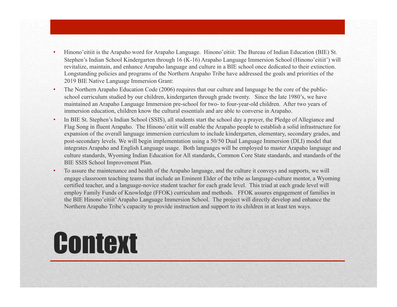- Hinono'eitiit is the Arapaho word for Arapaho Language. Hinono'eitiit: The Bureau of Indian Education (BIE) St. Stephen's Indian School Kindergarten through 16 (K-16) Arapaho Language Immersion School (Hinono'eitiit') will revitalize, maintain, and enhance Arapaho language and culture in a BIE school once dedicated to their extinction. Longstanding policies and programs of the Northern Arapaho Tribe have addressed the goals and priorities of the 2019 BIE Native Language Immersion Grant:
- The Northern Arapaho Education Code (2006) requires that our culture and language be the core of the publicschool curriculum studied by our children, kindergarten through grade twenty. Since the late 1980's, we have maintained an Arapaho Language Immersion pre-school for two- to four-year-old children. After two years of immersion education, children know the cultural essentials and are able to converse in Arapaho.
- In BIE St. Stephen's Indian School (SSIS), all students start the school day a prayer, the Pledge of Allegiance and Flag Song in fluent Arapaho. The Hinono'eitiit will enable the Arapaho people to establish a solid infrastructure for expansion of the overall language immersion curriculum to include kindergarten, elementary, secondary grades, and post-secondary levels. We will begin implementation using a 50/50 Dual Language Immersion (DLI) model that integrates Arapaho and English Language usage. Both languages will be employed to master Arapaho language and culture standards, Wyoming Indian Education for All standards, Common Core State standards, and standards of the BIE SSIS School Improvement Plan.
- To assure the maintenance and health of the Arapaho language, and the culture it conveys and supports, we will engage classroom teaching teams that include an Eminent Elder of the tribe as language-culture mentor, a Wyoming certified teacher, and a language-novice student teacher for each grade level. This triad at each grade level will employ Family Funds of Knowledge (FFOK) curriculum and methods. FFOK assures engagement of families in the BIE Hinono'eitiit' Arapaho Language Immersion School. The project will directly develop and enhance the Northern Arapaho Tribe's capacity to provide instruction and support to its children in at least ten ways.

#### **Context**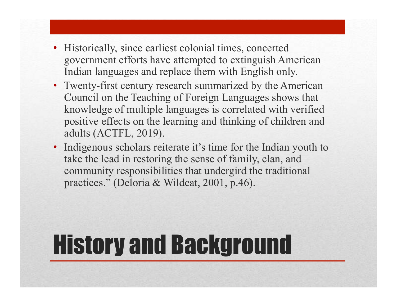- Historically, since earliest colonial times, concerted government efforts have attempted to extinguish American Indian languages and replace them with English only.
- Twenty-first century research summarized by the American Council on the Teaching of Foreign Languages shows that knowledge of multiple languages is correlated with verified positive effects on the learning and thinking of children and adults (ACTFL, 2019).
- Indigenous scholars reiterate it's time for the Indian youth to take the lead in restoring the sense of family, clan, and community responsibilities that undergird the traditional practices." (Deloria & Wildcat, 2001, p.46).

### History and Background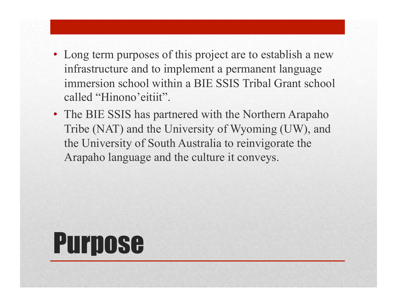- Long term purposes of this project are to establish a new infrastructure and to implement a permanent language immersion school within a BIE SSIS Tribal Grant school called "Hinono'eitiit".
- The BIE SSIS has partnered with the Northern Arapaho Tribe (NAT) and the University of Wyoming (UW), and the University of South Australia to reinvigorate the Arapaho language and the culture it conveys.

#### Purpose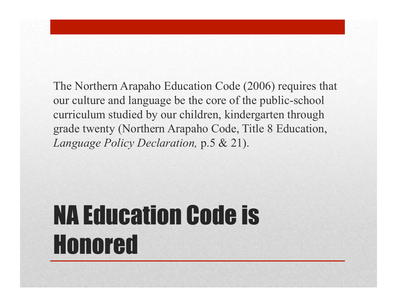The Northern Arapaho Education Code (2006) requires that our culture and language be the core of the public-school curriculum studied by our children, kindergarten through grade twenty (Northern Arapaho Code, Title 8 Education, *Language Policy Declaration,* p.5 & 21).

# NA Education Code is Honored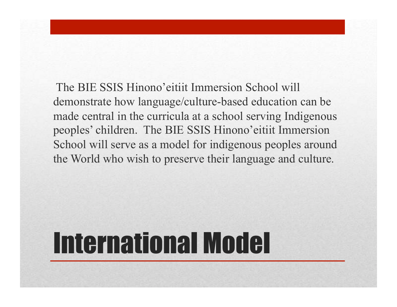The BIE SSIS Hinono'eitiit Immersion School will demonstrate how language/culture-based education can be made central in the curricula at a school serving Indigenous peoples' children. The BIE SSIS Hinono'eitiit Immersion School will serve as a model for indigenous peoples around the World who wish to preserve their language and culture.

# International Model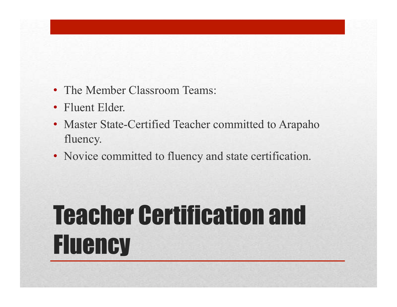- The Member Classroom Teams:
- Fluent Elder.
- Master State-Certified Teacher committed to Arapaho fluency.
- Novice committed to fluency and state certification.

# Teacher Certification and **Fluency**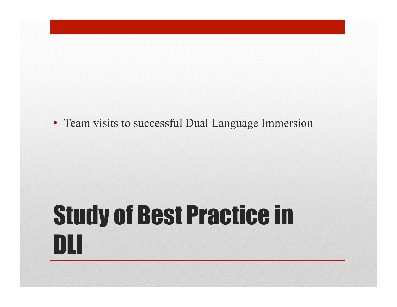• Team visits to successful Dual Language Immersion

### Study of Best Practice in DLI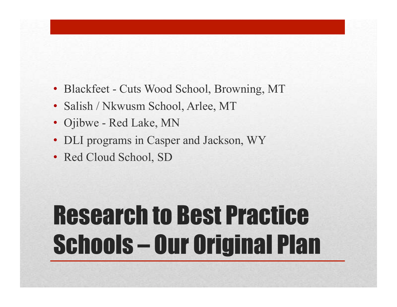- Blackfeet Cuts Wood School, Browning, MT
- Salish / Nkwusm School, Arlee, MT
- Ojibwe Red Lake, MN
- DLI programs in Casper and Jackson, WY
- Red Cloud School, SD

# Research to Best Practice Schools – Our Original Plan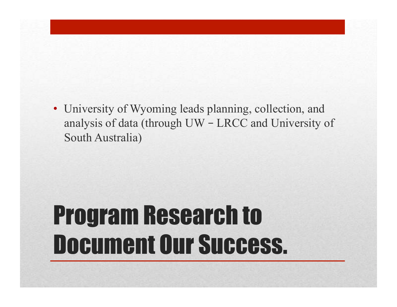• University of Wyoming leads planning, collection, and analysis of data (through UW – LRCC and University of South Australia)

#### Program Research to Document Our Success.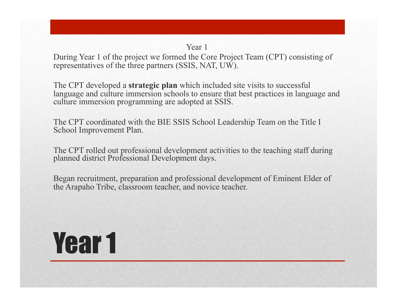#### Year 1

During Year 1 of the project we formed the Core Project Team (CPT) consisting of representatives of the three partners (SSIS, NAT, UW).

The CPT developed a **strategic plan** which included site visits to successful language and culture immersion schools to ensure that best practices in language and culture immersion programming are adopted at SSIS.

The CPT coordinated with the BIE SSIS School Leadership Team on the Title I School Improvement Plan.

The CPT rolled out professional development activities to the teaching staff during planned district Professional Development days.

Began recruitment, preparation and professional development of Eminent Elder of the Arapaho Tribe, classroom teacher, and novice teacher.

#### Year 1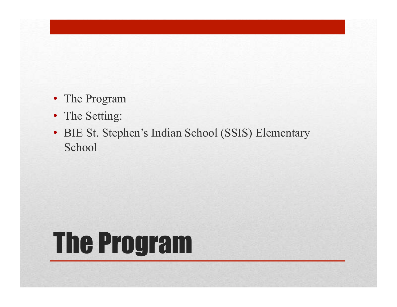- The Program
- The Setting:
- BIE St. Stephen's Indian School (SSIS) Elementary School

# The Program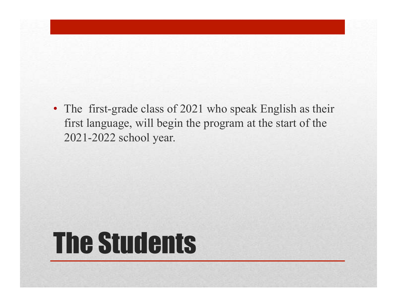• The first-grade class of 2021 who speak English as their first language, will begin the program at the start of the 2021-2022 school year.

### The Students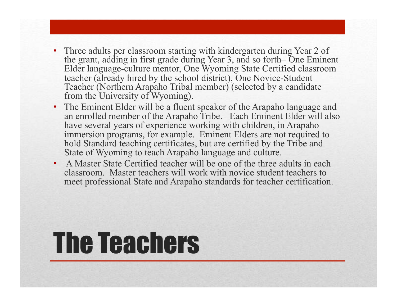- Three adults per classroom starting with kindergarten during Year 2 of the grant, adding in first grade during Year 3, and so forth– One Eminent Elder language-culture mentor, One Wyoming State Certified classroom teacher (already hired by the school district), One Novice-Student Teacher (Northern Arapaho Tribal member) (selected by a candidate from the University of Wyoming).
- The Eminent Elder will be a fluent speaker of the Arapaho language and an enrolled member of the Arapaho Tribe. Each Eminent Elder will also have several years of experience working with children, in Arapaho immersion programs, for example. Eminent Elders are not required to hold Standard teaching certificates, but are certified by the Tribe and State of Wyoming to teach Arapaho language and culture.
- A Master State Certified teacher will be one of the three adults in each classroom. Master teachers will work with novice student teachers to meet professional State and Arapaho standards for teacher certification.

# The Teachers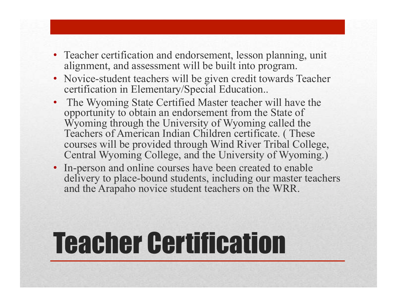- Teacher certification and endorsement, lesson planning, unit alignment, and assessment will be built into program.
- Novice-student teachers will be given credit towards Teacher certification in Elementary/Special Education..
- The Wyoming State Certified Master teacher will have the opportunity to obtain an endorsement from the State of Wyoming through the University of Wyoming called the Teachers of American Indian Children certificate. ( These courses will be provided through Wind River Tribal College, Central Wyoming College, and the University of Wyoming.)
- In-person and online courses have been created to enable delivery to place-bound students, including our master teachers and the Arapaho novice student teachers on the WRR.

# Teacher Certification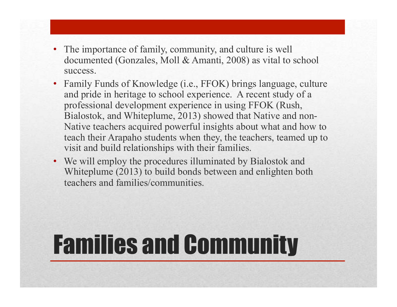- The importance of family, community, and culture is well documented (Gonzales, Moll & Amanti, 2008) as vital to school success.
- Family Funds of Knowledge (i.e., FFOK) brings language, culture and pride in heritage to school experience. A recent study of a professional development experience in using FFOK (Rush, Bialostok, and Whiteplume, 2013) showed that Native and non-Native teachers acquired powerful insights about what and how to teach their Arapaho students when they, the teachers, teamed up to visit and build relationships with their families.
- We will employ the procedures illuminated by Bialostok and Whiteplume (2013) to build bonds between and enlighten both teachers and families/communities.

### Families and Community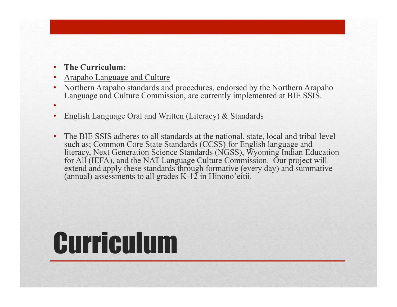• **The Curriculum:**

•

- Arapaho Language and Culture
- Northern Arapaho standards and procedures, endorsed by the Northern Arapaho Language and Culture Commission, are currently implemented at BIE SSIS.
- English Language Oral and Written (Literacy) & Standards
- The BIE SSIS adheres to all standards at the national, state, local and tribal level such as; Common Core State Standards (CCSS) for English language and literacy, Next Generation Science Standards (NGSS), Wyoming Indian Education for All (IEFA), and the NAT Language Culture Commission. Our project will extend and apply these standards through formative (every day) and summative (annual) assessments to all grades  $K-12$  in Hinono'eitii.

# Curriculum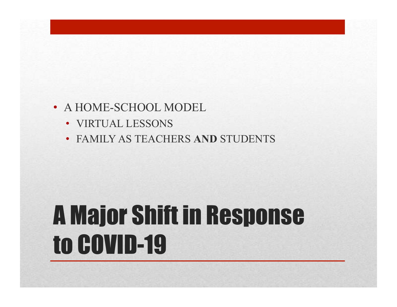#### • A HOME-SCHOOL MODEL

- VIRTUAL LESSONS
- FAMILY AS TEACHERS **AND** STUDENTS

### A Major Shift in Response to COVID-19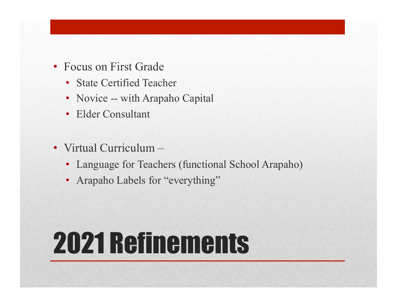- Focus on First Grade
	- State Certified Teacher
	- Novice -- with Arapaho Capital
	- Elder Consultant
- Virtual Curriculum
	- Language for Teachers (functional School Arapaho)
	- Arapaho Labels for "everything"

# 2021 Refinements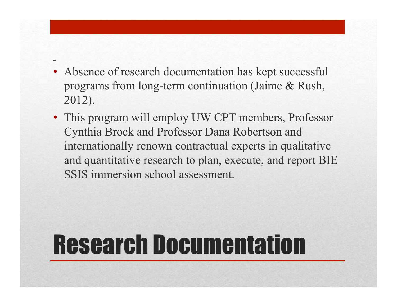- Absence of research documentation has kept successful programs from long-term continuation (Jaime & Rush, 2012).
- This program will employ UW CPT members, Professor Cynthia Brock and Professor Dana Robertson and internationally renown contractual experts in qualitative and quantitative research to plan, execute, and report BIE SSIS immersion school assessment.

#### Research Documentation